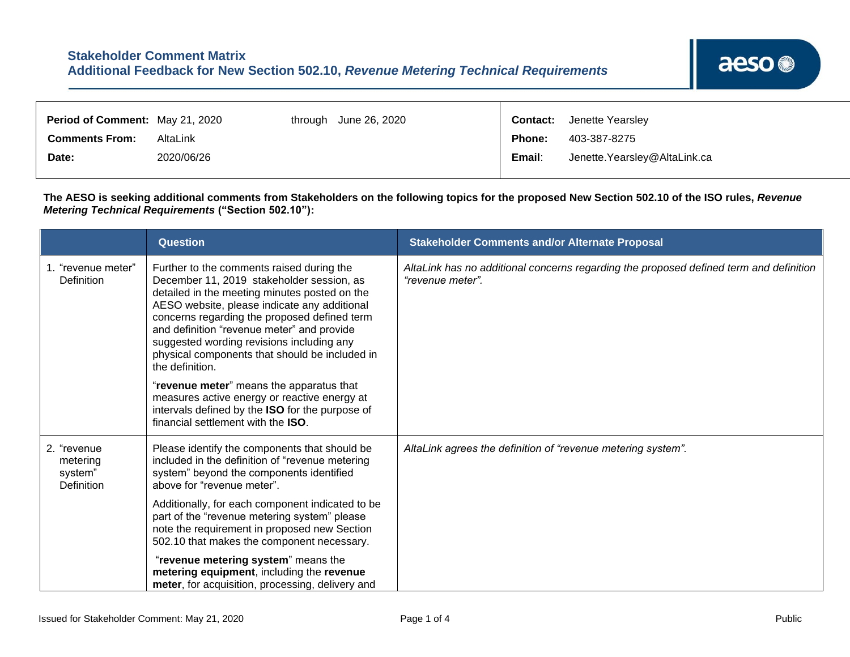| Period of Comment: May 21, 2020 |            | through | June 26, 2020 |               | <b>Contact:</b> Jenette Yearsley |
|---------------------------------|------------|---------|---------------|---------------|----------------------------------|
| <b>Comments From:</b>           | AltaLink   |         |               | <b>Phone:</b> | 403-387-8275                     |
| Date:                           | 2020/06/26 |         |               | Email:        | Jenette. Yearsley@AltaLink.ca    |

**The AESO is seeking additional comments from Stakeholders on the following topics for the proposed New Section 502.10 of the ISO rules,** *Revenue Metering Technical Requirements* **("Section 502.10"):**

┱

|                                                  | <b>Question</b>                                                                                                                                                                                                                                                                                                                                                                                         | <b>Stakeholder Comments and/or Alternate Proposal</b>                                                      |
|--------------------------------------------------|---------------------------------------------------------------------------------------------------------------------------------------------------------------------------------------------------------------------------------------------------------------------------------------------------------------------------------------------------------------------------------------------------------|------------------------------------------------------------------------------------------------------------|
| 1. "revenue meter"<br>Definition                 | Further to the comments raised during the<br>December 11, 2019 stakeholder session, as<br>detailed in the meeting minutes posted on the<br>AESO website, please indicate any additional<br>concerns regarding the proposed defined term<br>and definition "revenue meter" and provide<br>suggested wording revisions including any<br>physical components that should be included in<br>the definition. | AltaLink has no additional concerns regarding the proposed defined term and definition<br>"revenue meter". |
|                                                  | "revenue meter" means the apparatus that<br>measures active energy or reactive energy at<br>intervals defined by the ISO for the purpose of<br>financial settlement with the ISO.                                                                                                                                                                                                                       |                                                                                                            |
| 2. "revenue<br>metering<br>system"<br>Definition | Please identify the components that should be<br>included in the definition of "revenue metering<br>system" beyond the components identified<br>above for "revenue meter".                                                                                                                                                                                                                              | AltaLink agrees the definition of "revenue metering system".                                               |
|                                                  | Additionally, for each component indicated to be<br>part of the "revenue metering system" please<br>note the requirement in proposed new Section<br>502.10 that makes the component necessary.                                                                                                                                                                                                          |                                                                                                            |
|                                                  | "revenue metering system" means the<br>metering equipment, including the revenue<br>meter, for acquisition, processing, delivery and                                                                                                                                                                                                                                                                    |                                                                                                            |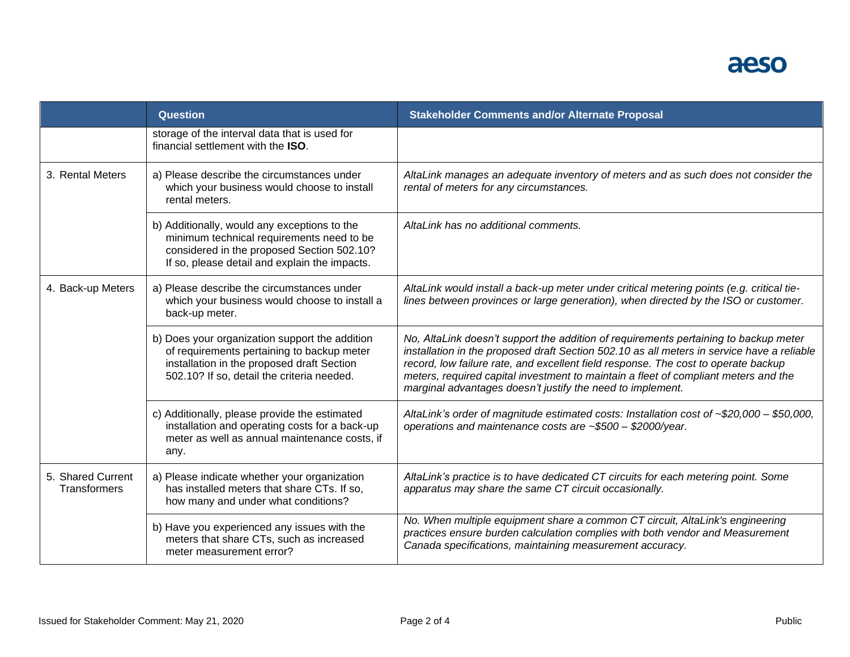## aeso

|                                                                                                                                                                                | <b>Question</b>                                                                                                                                                                          | <b>Stakeholder Comments and/or Alternate Proposal</b>                                                                                                                                                                                                                                                                                                                                                                         |
|--------------------------------------------------------------------------------------------------------------------------------------------------------------------------------|------------------------------------------------------------------------------------------------------------------------------------------------------------------------------------------|-------------------------------------------------------------------------------------------------------------------------------------------------------------------------------------------------------------------------------------------------------------------------------------------------------------------------------------------------------------------------------------------------------------------------------|
|                                                                                                                                                                                | storage of the interval data that is used for<br>financial settlement with the ISO.                                                                                                      |                                                                                                                                                                                                                                                                                                                                                                                                                               |
| 3. Rental Meters                                                                                                                                                               | a) Please describe the circumstances under<br>which your business would choose to install<br>rental meters.                                                                              | AltaLink manages an adequate inventory of meters and as such does not consider the<br>rental of meters for any circumstances.                                                                                                                                                                                                                                                                                                 |
|                                                                                                                                                                                | b) Additionally, would any exceptions to the<br>minimum technical requirements need to be<br>considered in the proposed Section 502.10?<br>If so, please detail and explain the impacts. | AltaLink has no additional comments.                                                                                                                                                                                                                                                                                                                                                                                          |
| 4. Back-up Meters<br>a) Please describe the circumstances under<br>which your business would choose to install a<br>back-up meter.                                             |                                                                                                                                                                                          | AltaLink would install a back-up meter under critical metering points (e.g. critical tie-<br>lines between provinces or large generation), when directed by the ISO or customer.                                                                                                                                                                                                                                              |
|                                                                                                                                                                                | b) Does your organization support the addition<br>of requirements pertaining to backup meter<br>installation in the proposed draft Section<br>502.10? If so, detail the criteria needed. | No, AltaLink doesn't support the addition of requirements pertaining to backup meter<br>installation in the proposed draft Section 502.10 as all meters in service have a reliable<br>record, low failure rate, and excellent field response. The cost to operate backup<br>meters, required capital investment to maintain a fleet of compliant meters and the<br>marginal advantages doesn't justify the need to implement. |
|                                                                                                                                                                                | c) Additionally, please provide the estimated<br>installation and operating costs for a back-up<br>meter as well as annual maintenance costs, if<br>any.                                 | AltaLink's order of magnitude estimated costs: Installation cost of ~\$20,000 - \$50,000,<br>operations and maintenance costs are ~\$500 - \$2000/year.                                                                                                                                                                                                                                                                       |
| 5. Shared Current<br>a) Please indicate whether your organization<br>has installed meters that share CTs. If so,<br><b>Transformers</b><br>how many and under what conditions? |                                                                                                                                                                                          | AltaLink's practice is to have dedicated CT circuits for each metering point. Some<br>apparatus may share the same CT circuit occasionally.                                                                                                                                                                                                                                                                                   |
|                                                                                                                                                                                | b) Have you experienced any issues with the<br>meters that share CTs, such as increased<br>meter measurement error?                                                                      | No. When multiple equipment share a common CT circuit, AltaLink's engineering<br>practices ensure burden calculation complies with both vendor and Measurement<br>Canada specifications, maintaining measurement accuracy.                                                                                                                                                                                                    |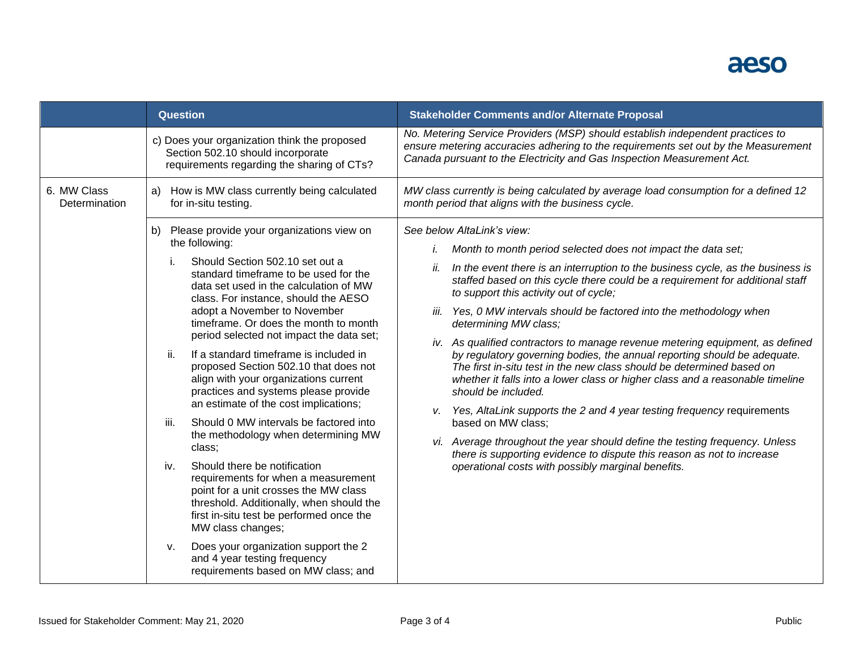## aeso

|                              | <b>Question</b>                                                                                                                                                                                                                                                                                                                                                                                                                                                                                                                                                                                                                                                                                                                                                                                                                                                                                                                                                                                                                            | <b>Stakeholder Comments and/or Alternate Proposal</b>                                                                                                                                                                                                                                                                                                                                                                                                                                                                                                                                                                                                                                                                                                                                                                                                                                                                                                                                                                                                                                   |
|------------------------------|--------------------------------------------------------------------------------------------------------------------------------------------------------------------------------------------------------------------------------------------------------------------------------------------------------------------------------------------------------------------------------------------------------------------------------------------------------------------------------------------------------------------------------------------------------------------------------------------------------------------------------------------------------------------------------------------------------------------------------------------------------------------------------------------------------------------------------------------------------------------------------------------------------------------------------------------------------------------------------------------------------------------------------------------|-----------------------------------------------------------------------------------------------------------------------------------------------------------------------------------------------------------------------------------------------------------------------------------------------------------------------------------------------------------------------------------------------------------------------------------------------------------------------------------------------------------------------------------------------------------------------------------------------------------------------------------------------------------------------------------------------------------------------------------------------------------------------------------------------------------------------------------------------------------------------------------------------------------------------------------------------------------------------------------------------------------------------------------------------------------------------------------------|
|                              | c) Does your organization think the proposed<br>Section 502.10 should incorporate<br>requirements regarding the sharing of CTs?                                                                                                                                                                                                                                                                                                                                                                                                                                                                                                                                                                                                                                                                                                                                                                                                                                                                                                            | No. Metering Service Providers (MSP) should establish independent practices to<br>ensure metering accuracies adhering to the requirements set out by the Measurement<br>Canada pursuant to the Electricity and Gas Inspection Measurement Act.                                                                                                                                                                                                                                                                                                                                                                                                                                                                                                                                                                                                                                                                                                                                                                                                                                          |
| 6. MW Class<br>Determination | How is MW class currently being calculated<br>a)<br>for in-situ testing.                                                                                                                                                                                                                                                                                                                                                                                                                                                                                                                                                                                                                                                                                                                                                                                                                                                                                                                                                                   | MW class currently is being calculated by average load consumption for a defined 12<br>month period that aligns with the business cycle.                                                                                                                                                                                                                                                                                                                                                                                                                                                                                                                                                                                                                                                                                                                                                                                                                                                                                                                                                |
|                              | Please provide your organizations view on<br>b)<br>the following:<br>Should Section 502.10 set out a<br>i.<br>standard timeframe to be used for the<br>data set used in the calculation of MW<br>class. For instance, should the AESO<br>adopt a November to November<br>timeframe. Or does the month to month<br>period selected not impact the data set;<br>ii.<br>If a standard timeframe is included in<br>proposed Section 502.10 that does not<br>align with your organizations current<br>practices and systems please provide<br>an estimate of the cost implications;<br>iii.<br>Should 0 MW intervals be factored into<br>the methodology when determining MW<br>class;<br>Should there be notification<br>iv.<br>requirements for when a measurement<br>point for a unit crosses the MW class<br>threshold. Additionally, when should the<br>first in-situ test be performed once the<br>MW class changes;<br>Does your organization support the 2<br>v.<br>and 4 year testing frequency<br>requirements based on MW class; and | See below AltaLink's view:<br>Month to month period selected does not impact the data set;<br>In the event there is an interruption to the business cycle, as the business is<br>ii.<br>staffed based on this cycle there could be a requirement for additional staff<br>to support this activity out of cycle;<br>Yes, 0 MW intervals should be factored into the methodology when<br>iii.<br>determining MW class;<br>iv. As qualified contractors to manage revenue metering equipment, as defined<br>by regulatory governing bodies, the annual reporting should be adequate.<br>The first in-situ test in the new class should be determined based on<br>whether it falls into a lower class or higher class and a reasonable timeline<br>should be included.<br>Yes, AltaLink supports the 2 and 4 year testing frequency requirements<br>v.<br>based on MW class;<br>vi. Average throughout the year should define the testing frequency. Unless<br>there is supporting evidence to dispute this reason as not to increase<br>operational costs with possibly marginal benefits. |